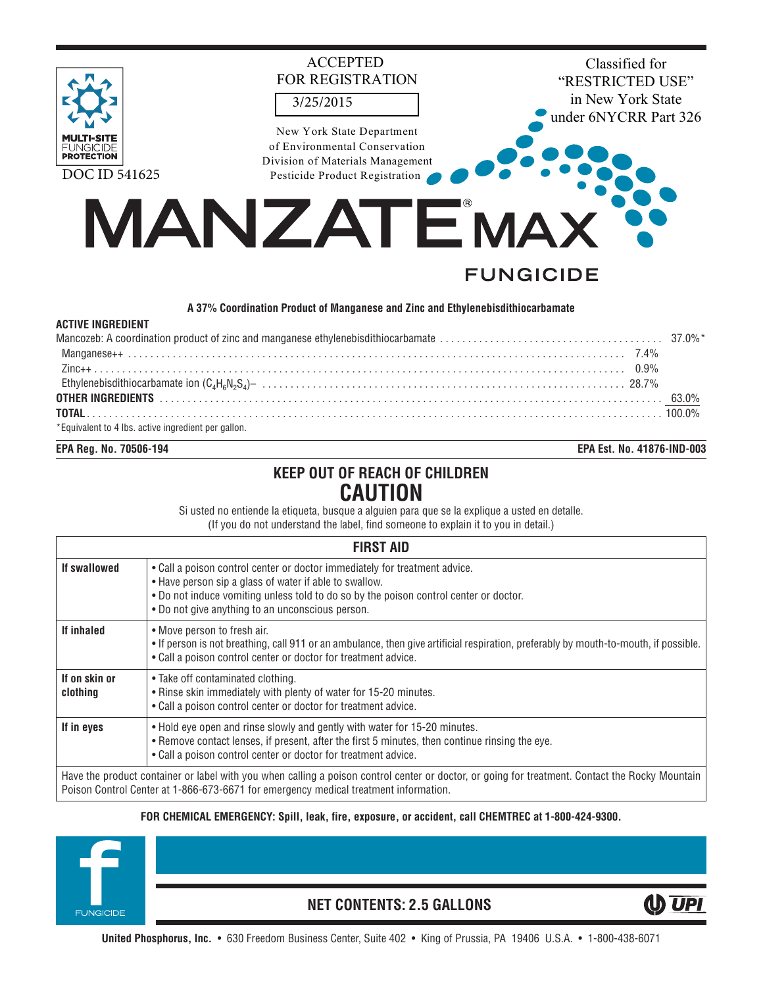

# **OTHER INGREDIENTS** . . . . . . . . . . . . . . . . . . . . . . . . . . . . . . . . . . . . . . . . . . . . . . . . . . . . . . . . . . . . . . . . . . . . . . . . . . . . . . . . . . . . . . . . . . 63.0% **TOTAL** . . . . . . . . . . . . . . . . . . . . . . . . . . . . . . . . . . . . . . . . . . . . . . . . . . . . . . . . . . . . . . . . . . . . . . . . . . . . . . . . . . . . . . . . . . . . . . . . . . . . . . . 100.0%

\*Equivalent to 4 lbs. active ingredient per gallon.

#### **EPA Reg. No. 70506-194 EPA Est. No. 41876-IND-003**

# **KEEP OUT OF REACH OF CHILDREN CAUTION**

Si usted no entiende la etiqueta, busque a alguien para que se la explique a usted en detalle. (If you do not understand the label, find someone to explain it to you in detail.)

|                           | <b>FIRST AID</b>                                                                                                                                                                                                                                                                  |
|---------------------------|-----------------------------------------------------------------------------------------------------------------------------------------------------------------------------------------------------------------------------------------------------------------------------------|
| If swallowed              | . Call a poison control center or doctor immediately for treatment advice.<br>• Have person sip a glass of water if able to swallow.<br>. Do not induce vomiting unless told to do so by the poison control center or doctor.<br>• Do not give anything to an unconscious person. |
| If inhaled                | • Move person to fresh air.<br>• If person is not breathing, call 911 or an ambulance, then give artificial respiration, preferably by mouth-to-mouth, if possible.<br>• Call a poison control center or doctor for treatment advice.                                             |
| If on skin or<br>clothing | • Take off contaminated clothing.<br>. Rinse skin immediately with plenty of water for 15-20 minutes.<br>• Call a poison control center or doctor for treatment advice.                                                                                                           |
| If in eyes                | • Hold eye open and rinse slowly and gently with water for 15-20 minutes.<br>. Remove contact lenses, if present, after the first 5 minutes, then continue rinsing the eye.<br>• Call a poison control center or doctor for treatment advice.                                     |
|                           | Have the product container or label with you when calling a poison control center or doctor, or going for treatment. Contact the Rocky Mountain<br>Poison Control Center at 1-866-673-6671 for emergency medical treatment information.                                           |

#### **FOR CHEMICAL EMERGENCY: Spill, leak, fire, exposure, or accident, call CHEMTREC at 1-800-424-9300.**



**NET CONTENTS: 2.5 GALLONS**

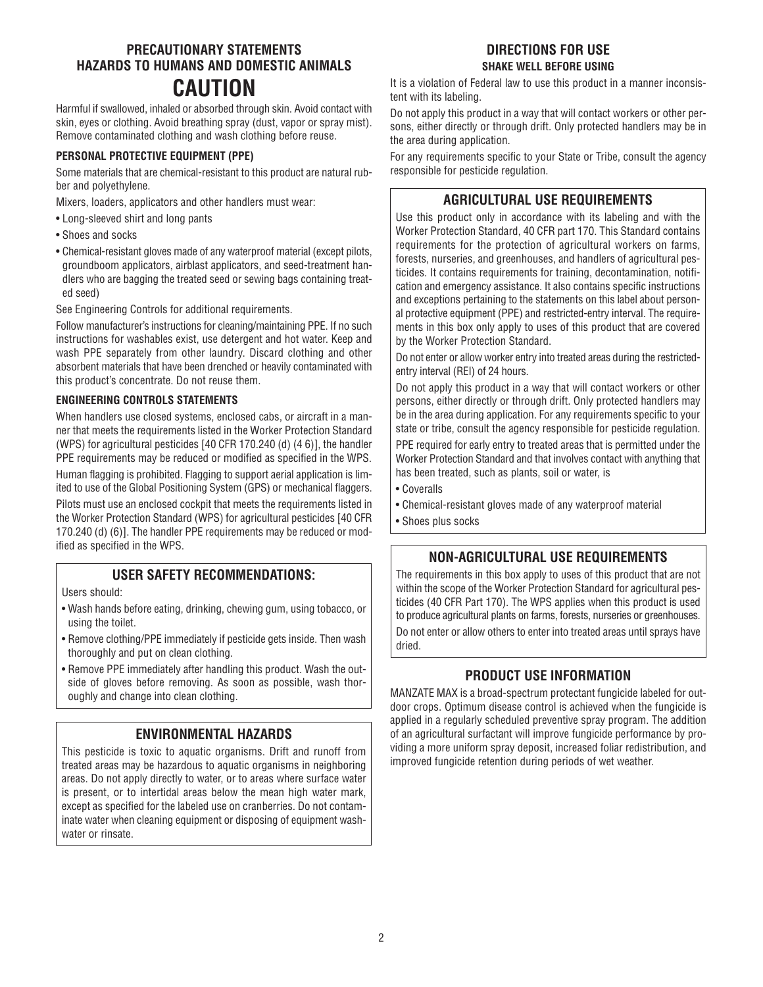# **PRECAUTIONARY STATEMENTS HAZARDS TO HUMANS AND DOMESTIC ANIMALS CAUTION**

Harmful if swallowed, inhaled or absorbed through skin. Avoid contact with skin, eyes or clothing. Avoid breathing spray (dust, vapor or spray mist). Remove contaminated clothing and wash clothing before reuse.

#### **PERSONAL PROTECTIVE EQUIPMENT (PPE)**

Some materials that are chemical-resistant to this product are natural rubber and polyethylene.

Mixers, loaders, applicators and other handlers must wear:

- Long-sleeved shirt and long pants
- Shoes and socks
- Chemical-resistant gloves made of any waterproof material (except pilots, groundboom applicators, airblast applicators, and seed-treatment handlers who are bagging the treated seed or sewing bags containing treated seed)

See Engineering Controls for additional requirements.

Follow manufacturer's instructions for cleaning/maintaining PPE. If no such instructions for washables exist, use detergent and hot water. Keep and wash PPE separately from other laundry. Discard clothing and other absorbent materials that have been drenched or heavily contaminated with this product's concentrate. Do not reuse them.

#### **ENGINEERING CONTROLS STATEMENTS**

When handlers use closed systems, enclosed cabs, or aircraft in a manner that meets the requirements listed in the Worker Protection Standard (WPS) for agricultural pesticides [40 CFR 170.240 (d) (4 6)], the handler PPE requirements may be reduced or modified as specified in the WPS.

Human flagging is prohibited. Flagging to support aerial application is limited to use of the Global Positioning System (GPS) or mechanical flaggers.

Pilots must use an enclosed cockpit that meets the requirements listed in the Worker Protection Standard (WPS) for agricultural pesticides [40 CFR 170.240 (d) (6)]. The handler PPE requirements may be reduced or modified as specified in the WPS.

### **USER SAFETY RECOMMENDATIONS:**

Users should:

- Wash hands before eating, drinking, chewing gum, using tobacco, or using the toilet.
- Remove clothing/PPE immediately if pesticide gets inside. Then wash thoroughly and put on clean clothing.
- Remove PPE immediately after handling this product. Wash the outside of gloves before removing. As soon as possible, wash thoroughly and change into clean clothing.

### **ENVIRONMENTAL HAZARDS**

This pesticide is toxic to aquatic organisms. Drift and runoff from treated areas may be hazardous to aquatic organisms in neighboring areas. Do not apply directly to water, or to areas where surface water is present, or to intertidal areas below the mean high water mark, except as specified for the labeled use on cranberries. Do not contaminate water when cleaning equipment or disposing of equipment washwater or rinsate.

## **DIRECTIONS FOR USE SHAKE WELL BEFORE USING**

It is a violation of Federal law to use this product in a manner inconsistent with its labeling.

Do not apply this product in a way that will contact workers or other persons, either directly or through drift. Only protected handlers may be in the area during application.

For any requirements specific to your State or Tribe, consult the agency responsible for pesticide regulation.

### **AGRICULTURAL USE REQUIREMENTS**

Use this product only in accordance with its labeling and with the Worker Protection Standard, 40 CFR part 170. This Standard contains requirements for the protection of agricultural workers on farms, forests, nurseries, and greenhouses, and handlers of agricultural pesticides. It contains requirements for training, decontamination, notification and emergency assistance. It also contains specific instructions and exceptions pertaining to the statements on this label about personal protective equipment (PPE) and restricted-entry interval. The requirements in this box only apply to uses of this product that are covered by the Worker Protection Standard.

Do not enter or allow worker entry into treated areas during the restrictedentry interval (REI) of 24 hours.

Do not apply this product in a way that will contact workers or other persons, either directly or through drift. Only protected handlers may be in the area during application. For any requirements specific to your state or tribe, consult the agency responsible for pesticide regulation. PPE required for early entry to treated areas that is permitted under the Worker Protection Standard and that involves contact with anything that has been treated, such as plants, soil or water, is

• Coveralls

• Chemical-resistant gloves made of any waterproof material

• Shoes plus socks

# **NON-AGRICULTURAL USE REQUIREMENTS**

The requirements in this box apply to uses of this product that are not within the scope of the Worker Protection Standard for agricultural pesticides (40 CFR Part 170). The WPS applies when this product is used to produce agricultural plants on farms, forests, nurseries or greenhouses. Do not enter or allow others to enter into treated areas until sprays have dried.

### **PRODUCT USE INFORMATION**

MANZATE MAX is a broad-spectrum protectant fungicide labeled for outdoor crops. Optimum disease control is achieved when the fungicide is applied in a regularly scheduled preventive spray program. The addition of an agricultural surfactant will improve fungicide performance by providing a more uniform spray deposit, increased foliar redistribution, and improved fungicide retention during periods of wet weather.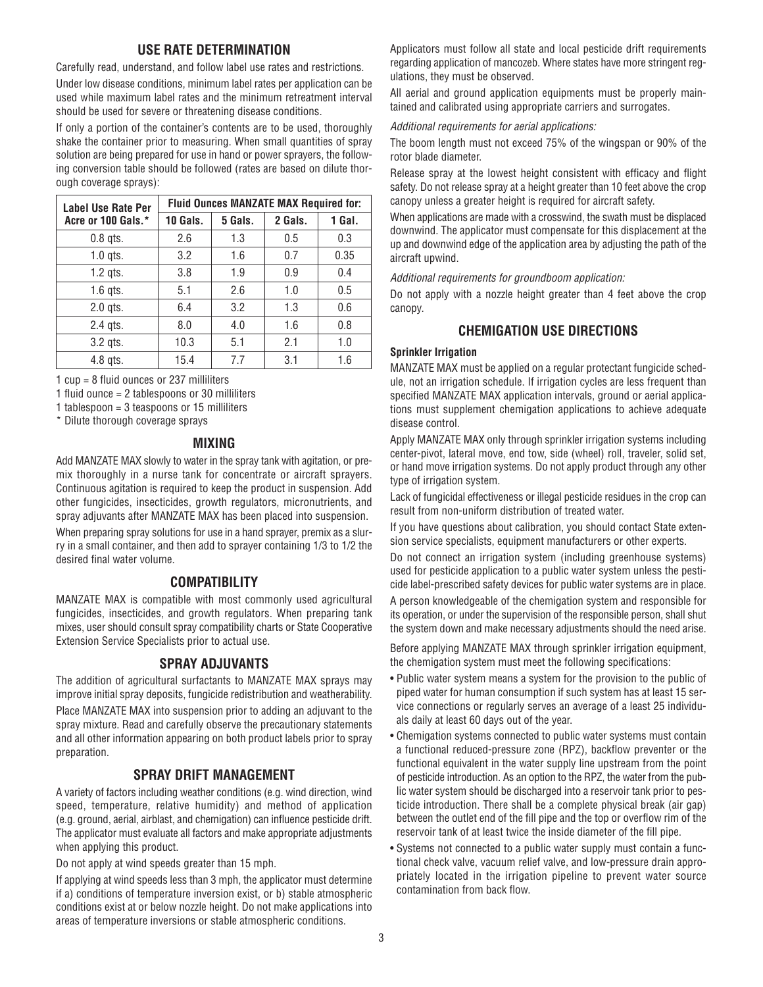### **USE RATE DETERMINATION**

Carefully read, understand, and follow label use rates and restrictions. Under low disease conditions, minimum label rates per application can be used while maximum label rates and the minimum retreatment interval should be used for severe or threatening disease conditions.

If only a portion of the container's contents are to be used, thoroughly shake the container prior to measuring. When small quantities of spray solution are being prepared for use in hand or power sprayers, the following conversion table should be followed (rates are based on dilute thorough coverage sprays):

| <b>Label Use Rate Per</b> | <b>Fluid Ounces MANZATE MAX Required for:</b> |         |         |        |
|---------------------------|-----------------------------------------------|---------|---------|--------|
| Acre or 100 Gals.*        | 10 Gals.                                      | 5 Gals. | 2 Gals. | 1 Gal. |
| $0.8$ qts.                | 2.6                                           | 1.3     | 0.5     | 0.3    |
| $1.0$ qts.                | 3.2                                           | 1.6     | 0.7     | 0.35   |
| $1.2$ qts.                | 3.8                                           | 1.9     | 0.9     | 0.4    |
| $1.6$ qts.                | 5.1                                           | 2.6     | 1.0     | 0.5    |
| $2.0$ qts.                | 6.4                                           | 3.2     | 1.3     | 0.6    |
| 2.4 gts.                  | 8.0                                           | 4.0     | 1.6     | 0.8    |
| $3.2$ qts.                | 10.3                                          | 5.1     | 2.1     | 1.0    |
| 4.8 gts.                  | 15.4                                          | 7.7     | 3.1     | 1.6    |

1 cup = 8 fluid ounces or 237 milliliters

1 fluid ounce = 2 tablespoons or 30 milliliters

1 tablespoon = 3 teaspoons or 15 milliliters

\* Dilute thorough coverage sprays

### **MIXING**

Add MANZATE MAX slowly to water in the spray tank with agitation, or premix thoroughly in a nurse tank for concentrate or aircraft sprayers. Continuous agitation is required to keep the product in suspension. Add other fungicides, insecticides, growth regulators, micronutrients, and spray adjuvants after MANZATE MAX has been placed into suspension.

When preparing spray solutions for use in a hand sprayer, premix as a slurry in a small container, and then add to sprayer containing 1/3 to 1/2 the desired final water volume.

### **COMPATIBILITY**

MANZATE MAX is compatible with most commonly used agricultural fungicides, insecticides, and growth regulators. When preparing tank mixes, user should consult spray compatibility charts or State Cooperative Extension Service Specialists prior to actual use.

### **SPRAY ADJUVANTS**

The addition of agricultural surfactants to MANZATE MAX sprays may improve initial spray deposits, fungicide redistribution and weatherability. Place MANZATE MAX into suspension prior to adding an adjuvant to the spray mixture. Read and carefully observe the precautionary statements and all other information appearing on both product labels prior to spray preparation.

### **SPRAY DRIFT MANAGEMENT**

A variety of factors including weather conditions (e.g. wind direction, wind speed, temperature, relative humidity) and method of application (e.g. ground, aerial, airblast, and chemigation) can influence pesticide drift. The applicator must evaluate all factors and make appropriate adjustments when applying this product.

Do not apply at wind speeds greater than 15 mph.

If applying at wind speeds less than 3 mph, the applicator must determine if a) conditions of temperature inversion exist, or b) stable atmospheric conditions exist at or below nozzle height. Do not make applications into areas of temperature inversions or stable atmospheric conditions.

Applicators must follow all state and local pesticide drift requirements regarding application of mancozeb. Where states have more stringent regulations, they must be observed.

All aerial and ground application equipments must be properly maintained and calibrated using appropriate carriers and surrogates.

Additional requirements for aerial applications:

The boom length must not exceed 75% of the wingspan or 90% of the rotor blade diameter.

Release spray at the lowest height consistent with efficacy and flight safety. Do not release spray at a height greater than 10 feet above the crop canopy unless a greater height is required for aircraft safety.

When applications are made with a crosswind, the swath must be displaced downwind. The applicator must compensate for this displacement at the up and downwind edge of the application area by adjusting the path of the aircraft upwind.

Additional requirements for groundboom application:

Do not apply with a nozzle height greater than 4 feet above the crop canopy.

### **CHEMIGATION USE DIRECTIONS**

#### **Sprinkler Irrigation**

MANZATE MAX must be applied on a regular protectant fungicide schedule, not an irrigation schedule. If irrigation cycles are less frequent than specified MANZATE MAX application intervals, ground or aerial applications must supplement chemigation applications to achieve adequate disease control.

Apply MANZATE MAX only through sprinkler irrigation systems including center-pivot, lateral move, end tow, side (wheel) roll, traveler, solid set, or hand move irrigation systems. Do not apply product through any other type of irrigation system.

Lack of fungicidal effectiveness or illegal pesticide residues in the crop can result from non-uniform distribution of treated water.

If you have questions about calibration, you should contact State extension service specialists, equipment manufacturers or other experts.

Do not connect an irrigation system (including greenhouse systems) used for pesticide application to a public water system unless the pesticide label-prescribed safety devices for public water systems are in place.

A person knowledgeable of the chemigation system and responsible for its operation, or under the supervision of the responsible person, shall shut the system down and make necessary adjustments should the need arise.

Before applying MANZATE MAX through sprinkler irrigation equipment, the chemigation system must meet the following specifications:

- Public water system means a system for the provision to the public of piped water for human consumption if such system has at least 15 service connections or regularly serves an average of a least 25 individuals daily at least 60 days out of the year.
- Chemigation systems connected to public water systems must contain a functional reduced-pressure zone (RPZ), backflow preventer or the functional equivalent in the water supply line upstream from the point of pesticide introduction. As an option to the RPZ, the water from the public water system should be discharged into a reservoir tank prior to pesticide introduction. There shall be a complete physical break (air gap) between the outlet end of the fill pipe and the top or overflow rim of the reservoir tank of at least twice the inside diameter of the fill pipe.
- Systems not connected to a public water supply must contain a functional check valve, vacuum relief valve, and low-pressure drain appropriately located in the irrigation pipeline to prevent water source contamination from back flow.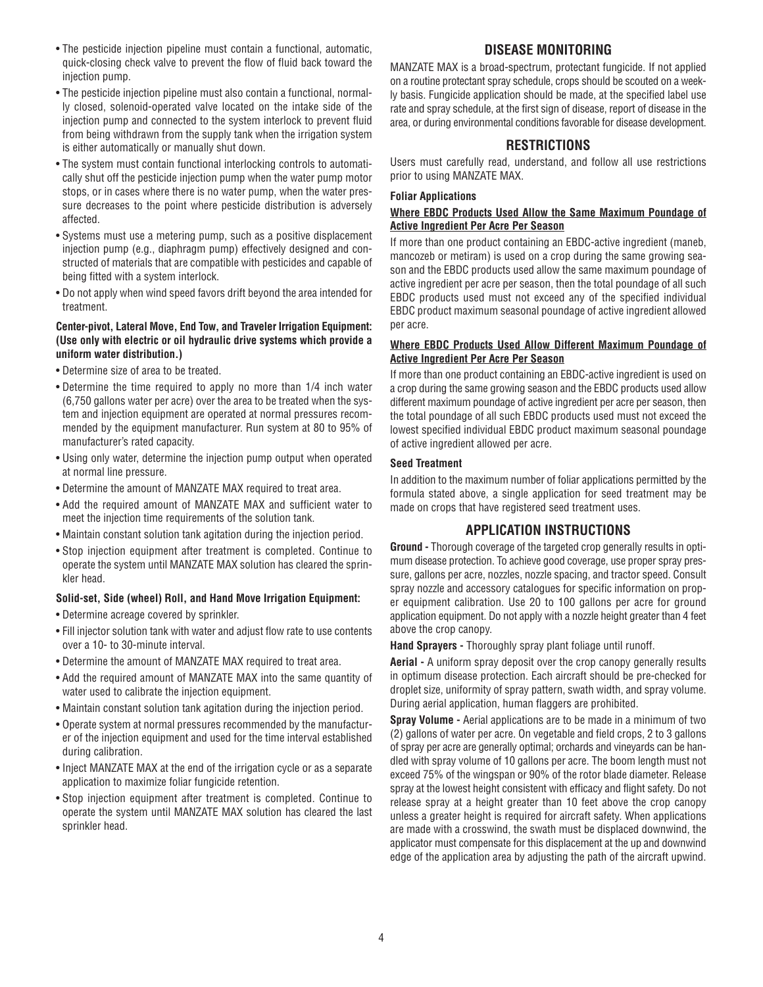- The pesticide injection pipeline must contain a functional, automatic, quick-closing check valve to prevent the flow of fluid back toward the injection pump.
- The pesticide injection pipeline must also contain a functional, normally closed, solenoid-operated valve located on the intake side of the injection pump and connected to the system interlock to prevent fluid from being withdrawn from the supply tank when the irrigation system is either automatically or manually shut down.
- The system must contain functional interlocking controls to automatically shut off the pesticide injection pump when the water pump motor stops, or in cases where there is no water pump, when the water pressure decreases to the point where pesticide distribution is adversely affected.
- Systems must use a metering pump, such as a positive displacement injection pump (e.g., diaphragm pump) effectively designed and constructed of materials that are compatible with pesticides and capable of being fitted with a system interlock.
- Do not apply when wind speed favors drift beyond the area intended for treatment.

#### **Center-pivot, Lateral Move, End Tow, and Traveler Irrigation Equipment: (Use only with electric or oil hydraulic drive systems which provide a uniform water distribution.)**

- Determine size of area to be treated.
- Determine the time required to apply no more than 1/4 inch water (6,750 gallons water per acre) over the area to be treated when the system and injection equipment are operated at normal pressures recommended by the equipment manufacturer. Run system at 80 to 95% of manufacturer's rated capacity.
- Using only water, determine the injection pump output when operated at normal line pressure.
- Determine the amount of MANZATE MAX required to treat area.
- Add the required amount of MANZATE MAX and sufficient water to meet the injection time requirements of the solution tank.
- Maintain constant solution tank agitation during the injection period.
- Stop injection equipment after treatment is completed. Continue to operate the system until MANZATE MAX solution has cleared the sprinkler head.

#### **Solid-set, Side (wheel) Roll, and Hand Move Irrigation Equipment:**

- Determine acreage covered by sprinkler.
- Fill injector solution tank with water and adjust flow rate to use contents over a 10- to 30-minute interval.
- Determine the amount of MANZATE MAX required to treat area.
- Add the required amount of MANZATE MAX into the same quantity of water used to calibrate the injection equipment.
- Maintain constant solution tank agitation during the injection period.
- Operate system at normal pressures recommended by the manufacturer of the injection equipment and used for the time interval established during calibration.
- Inject MANZATE MAX at the end of the irrigation cycle or as a separate application to maximize foliar fungicide retention.
- Stop injection equipment after treatment is completed. Continue to operate the system until MANZATE MAX solution has cleared the last sprinkler head.

### **DISEASE MONITORING**

MANZATE MAX is a broad-spectrum, protectant fungicide. If not applied on a routine protectant spray schedule, crops should be scouted on a weekly basis. Fungicide application should be made, at the specified label use rate and spray schedule, at the first sign of disease, report of disease in the area, or during environmental conditions favorable for disease development.

### **RESTRICTIONS**

Users must carefully read, understand, and follow all use restrictions prior to using MANZATE MAX.

#### **Foliar Applications**

#### **Where EBDC Products Used Allow the Same Maximum Poundage of Active Ingredient Per Acre Per Season**

If more than one product containing an EBDC-active ingredient (maneb, mancozeb or metiram) is used on a crop during the same growing season and the EBDC products used allow the same maximum poundage of active ingredient per acre per season, then the total poundage of all such EBDC products used must not exceed any of the specified individual EBDC product maximum seasonal poundage of active ingredient allowed per acre.

#### **Where EBDC Products Used Allow Different Maximum Poundage of Active Ingredient Per Acre Per Season**

If more than one product containing an EBDC-active ingredient is used on a crop during the same growing season and the EBDC products used allow different maximum poundage of active ingredient per acre per season, then the total poundage of all such EBDC products used must not exceed the lowest specified individual EBDC product maximum seasonal poundage of active ingredient allowed per acre.

#### **Seed Treatment**

In addition to the maximum number of foliar applications permitted by the formula stated above, a single application for seed treatment may be made on crops that have registered seed treatment uses.

### **APPLICATION INSTRUCTIONS**

**Ground -** Thorough coverage of the targeted crop generally results in optimum disease protection. To achieve good coverage, use proper spray pressure, gallons per acre, nozzles, nozzle spacing, and tractor speed. Consult spray nozzle and accessory catalogues for specific information on proper equipment calibration. Use 20 to 100 gallons per acre for ground application equipment. Do not apply with a nozzle height greater than 4 feet above the crop canopy.

**Hand Sprayers -** Thoroughly spray plant foliage until runoff.

**Aerial -** A uniform spray deposit over the crop canopy generally results in optimum disease protection. Each aircraft should be pre-checked for droplet size, uniformity of spray pattern, swath width, and spray volume. During aerial application, human flaggers are prohibited.

**Spray Volume -** Aerial applications are to be made in a minimum of two (2) gallons of water per acre. On vegetable and field crops, 2 to 3 gallons of spray per acre are generally optimal; orchards and vineyards can be handled with spray volume of 10 gallons per acre. The boom length must not exceed 75% of the wingspan or 90% of the rotor blade diameter. Release spray at the lowest height consistent with efficacy and flight safety. Do not release spray at a height greater than 10 feet above the crop canopy unless a greater height is required for aircraft safety. When applications are made with a crosswind, the swath must be displaced downwind, the applicator must compensate for this displacement at the up and downwind edge of the application area by adjusting the path of the aircraft upwind.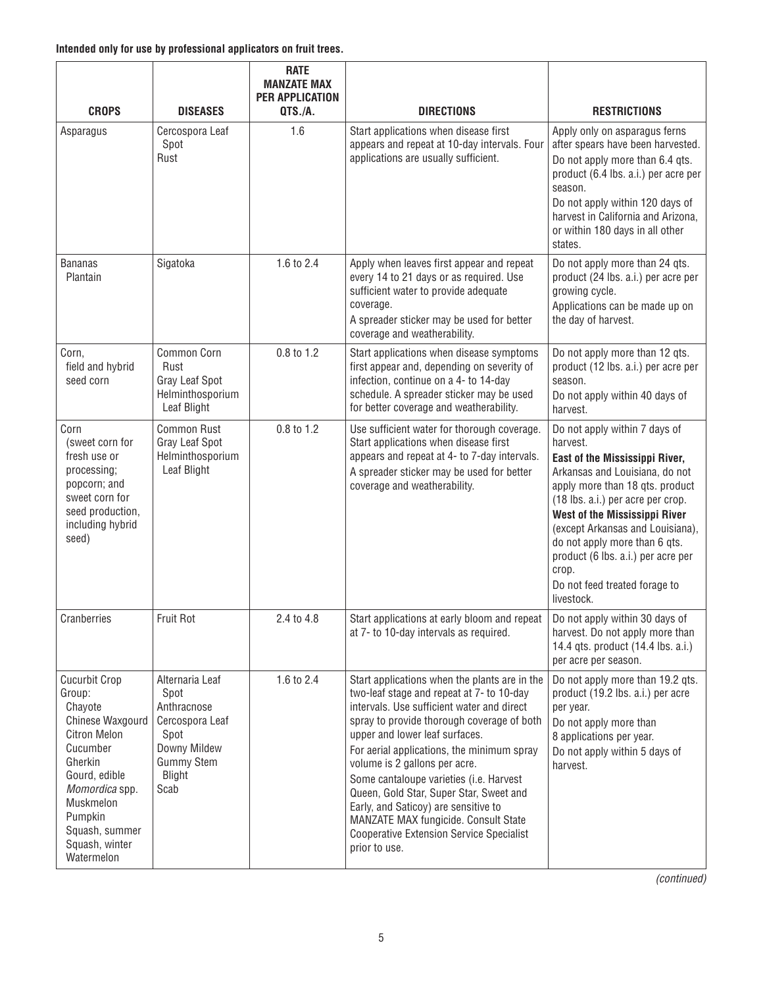| <b>CROPS</b>                                                                                                                                                                                                             | <b>DISEASES</b>                                                                                                          | <b>RATE</b><br><b>MANZATE MAX</b><br>PER APPLICATION<br>$QTS./A$ . | <b>DIRECTIONS</b>                                                                                                                                                                                                                                                                                                                                                                                                                                                                                                                                 | <b>RESTRICTIONS</b>                                                                                                                                                                                                                                                                                                                                                                       |
|--------------------------------------------------------------------------------------------------------------------------------------------------------------------------------------------------------------------------|--------------------------------------------------------------------------------------------------------------------------|--------------------------------------------------------------------|---------------------------------------------------------------------------------------------------------------------------------------------------------------------------------------------------------------------------------------------------------------------------------------------------------------------------------------------------------------------------------------------------------------------------------------------------------------------------------------------------------------------------------------------------|-------------------------------------------------------------------------------------------------------------------------------------------------------------------------------------------------------------------------------------------------------------------------------------------------------------------------------------------------------------------------------------------|
| Asparagus                                                                                                                                                                                                                | Cercospora Leaf<br>Spot<br>Rust                                                                                          | 1.6                                                                | Start applications when disease first<br>appears and repeat at 10-day intervals. Four<br>applications are usually sufficient.                                                                                                                                                                                                                                                                                                                                                                                                                     | Apply only on asparagus ferns<br>after spears have been harvested.<br>Do not apply more than 6.4 qts.<br>product (6.4 lbs. a.i.) per acre per<br>season.<br>Do not apply within 120 days of<br>harvest in California and Arizona,<br>or within 180 days in all other<br>states.                                                                                                           |
| <b>Bananas</b><br>Plantain                                                                                                                                                                                               | Sigatoka                                                                                                                 | 1.6 to 2.4                                                         | Apply when leaves first appear and repeat<br>every 14 to 21 days or as required. Use<br>sufficient water to provide adequate<br>coverage.<br>A spreader sticker may be used for better<br>coverage and weatherability.                                                                                                                                                                                                                                                                                                                            | Do not apply more than 24 qts.<br>product (24 lbs. a.i.) per acre per<br>growing cycle.<br>Applications can be made up on<br>the day of harvest.                                                                                                                                                                                                                                          |
| Corn,<br>field and hybrid<br>seed corn                                                                                                                                                                                   | Common Corn<br>Rust<br>Gray Leaf Spot<br>Helminthosporium<br>Leaf Blight                                                 | 0.8 to 1.2                                                         | Start applications when disease symptoms<br>first appear and, depending on severity of<br>infection, continue on a 4- to 14-day<br>schedule. A spreader sticker may be used<br>for better coverage and weatherability.                                                                                                                                                                                                                                                                                                                            | Do not apply more than 12 gts.<br>product (12 lbs. a.i.) per acre per<br>season.<br>Do not apply within 40 days of<br>harvest.                                                                                                                                                                                                                                                            |
| Corn<br>(sweet corn for<br>fresh use or<br>processing;<br>popcorn; and<br>sweet corn for<br>seed production,<br>including hybrid<br>seed)                                                                                | <b>Common Rust</b><br>Gray Leaf Spot<br>Helminthosporium<br>Leaf Blight                                                  | 0.8 to 1.2                                                         | Use sufficient water for thorough coverage.<br>Start applications when disease first<br>appears and repeat at 4- to 7-day intervals.<br>A spreader sticker may be used for better<br>coverage and weatherability.                                                                                                                                                                                                                                                                                                                                 | Do not apply within 7 days of<br>harvest.<br>East of the Mississippi River,<br>Arkansas and Louisiana, do not<br>apply more than 18 qts. product<br>(18 lbs. a.i.) per acre per crop.<br>West of the Mississippi River<br>(except Arkansas and Louisiana),<br>do not apply more than 6 qts.<br>product (6 lbs. a.i.) per acre per<br>crop.<br>Do not feed treated forage to<br>livestock. |
| Cranberries                                                                                                                                                                                                              | Fruit Rot                                                                                                                | 2.4 to 4.8                                                         | Start applications at early bloom and repeat<br>at 7- to 10-day intervals as required.                                                                                                                                                                                                                                                                                                                                                                                                                                                            | Do not apply within 30 days of<br>harvest. Do not apply more than<br>14.4 qts. product (14.4 lbs. a.i.)<br>per acre per season.                                                                                                                                                                                                                                                           |
| <b>Cucurbit Crop</b><br>Group:<br>Chayote<br>Chinese Waxgourd<br><b>Citron Melon</b><br>Cucumber<br>Gherkin<br>Gourd, edible<br>Momordica spp.<br>Muskmelon<br>Pumpkin<br>Squash, summer<br>Squash, winter<br>Watermelon | Alternaria Leaf<br>Spot<br>Anthracnose<br>Cercospora Leaf<br>Spot<br>Downy Mildew<br><b>Gummy Stem</b><br>Blight<br>Scab | 1.6 to 2.4                                                         | Start applications when the plants are in the<br>two-leaf stage and repeat at 7- to 10-day<br>intervals. Use sufficient water and direct<br>spray to provide thorough coverage of both<br>upper and lower leaf surfaces.<br>For aerial applications, the minimum spray<br>volume is 2 gallons per acre.<br>Some cantaloupe varieties (i.e. Harvest<br>Queen, Gold Star, Super Star, Sweet and<br>Early, and Saticoy) are sensitive to<br>MANZATE MAX fungicide. Consult State<br><b>Cooperative Extension Service Specialist</b><br>prior to use. | Do not apply more than 19.2 qts.<br>product (19.2 lbs. a.i.) per acre<br>per year.<br>Do not apply more than<br>8 applications per year.<br>Do not apply within 5 days of<br>harvest.                                                                                                                                                                                                     |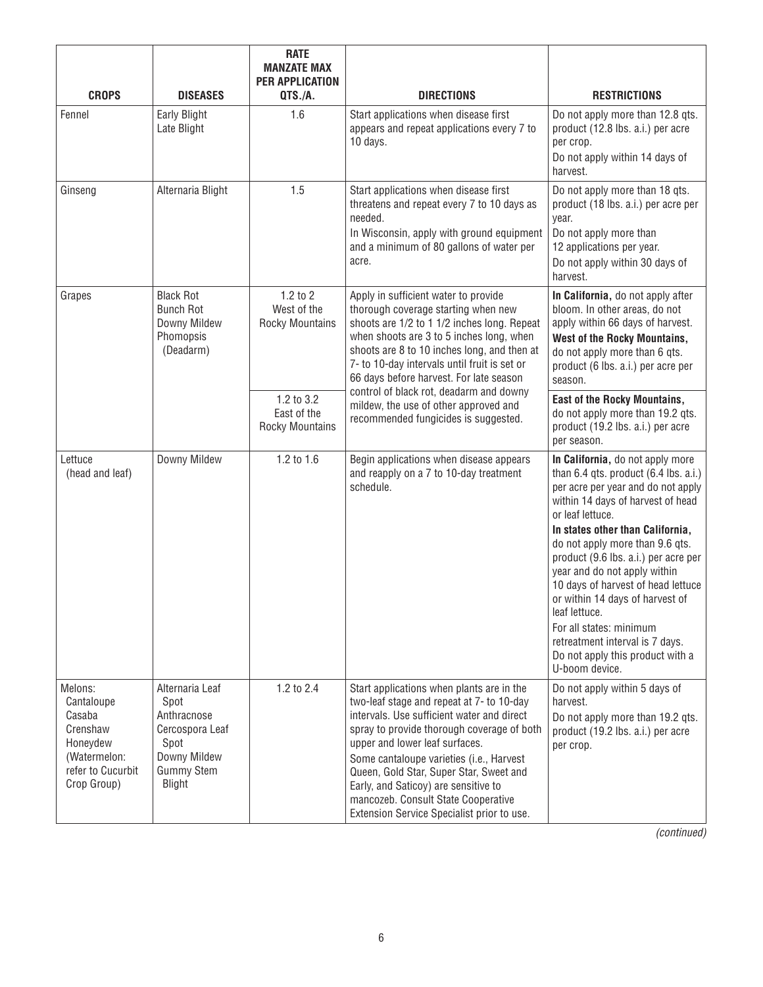|                                                                                                             |                                                                                                                  | <b>RATE</b><br><b>MANZATE MAX</b><br><b>PER APPLICATION</b> |                                                                                                                                                                                                                                                                                                                                                                                                                                              |                                                                                                                                                                                                                                                                                                                                                                                                                                                                                                                                       |
|-------------------------------------------------------------------------------------------------------------|------------------------------------------------------------------------------------------------------------------|-------------------------------------------------------------|----------------------------------------------------------------------------------------------------------------------------------------------------------------------------------------------------------------------------------------------------------------------------------------------------------------------------------------------------------------------------------------------------------------------------------------------|---------------------------------------------------------------------------------------------------------------------------------------------------------------------------------------------------------------------------------------------------------------------------------------------------------------------------------------------------------------------------------------------------------------------------------------------------------------------------------------------------------------------------------------|
| <b>CROPS</b>                                                                                                | <b>DISEASES</b>                                                                                                  | QTS./A.                                                     | <b>DIRECTIONS</b>                                                                                                                                                                                                                                                                                                                                                                                                                            | <b>RESTRICTIONS</b>                                                                                                                                                                                                                                                                                                                                                                                                                                                                                                                   |
| Fennel                                                                                                      | Early Blight<br>Late Blight                                                                                      | 1.6                                                         | Start applications when disease first<br>appears and repeat applications every 7 to<br>10 days.                                                                                                                                                                                                                                                                                                                                              | Do not apply more than 12.8 qts.<br>product (12.8 lbs. a.i.) per acre<br>per crop.<br>Do not apply within 14 days of<br>harvest.                                                                                                                                                                                                                                                                                                                                                                                                      |
| Ginseng                                                                                                     | Alternaria Blight                                                                                                | 1.5                                                         | Start applications when disease first<br>threatens and repeat every 7 to 10 days as<br>needed.<br>In Wisconsin, apply with ground equipment<br>and a minimum of 80 gallons of water per<br>acre.                                                                                                                                                                                                                                             | Do not apply more than 18 qts.<br>product (18 lbs. a.i.) per acre per<br>vear.<br>Do not apply more than<br>12 applications per year.<br>Do not apply within 30 days of<br>harvest.                                                                                                                                                                                                                                                                                                                                                   |
| Grapes                                                                                                      | <b>Black Rot</b><br><b>Bunch Rot</b><br>Downy Mildew<br>Phomopsis<br>(Deadarm)                                   | $1.2$ to $2$<br>West of the<br><b>Rocky Mountains</b>       | Apply in sufficient water to provide<br>thorough coverage starting when new<br>shoots are 1/2 to 1 1/2 inches long. Repeat<br>when shoots are 3 to 5 inches long, when<br>shoots are 8 to 10 inches long, and then at<br>7- to 10-day intervals until fruit is set or<br>66 days before harvest. For late season<br>control of black rot, deadarm and downy<br>mildew, the use of other approved and<br>recommended fungicides is suggested. | In California, do not apply after<br>bloom. In other areas, do not<br>apply within 66 days of harvest.<br>West of the Rocky Mountains,<br>do not apply more than 6 qts.<br>product (6 lbs. a.i.) per acre per<br>season.                                                                                                                                                                                                                                                                                                              |
|                                                                                                             |                                                                                                                  | 1.2 to 3.2<br>East of the<br><b>Rocky Mountains</b>         |                                                                                                                                                                                                                                                                                                                                                                                                                                              | East of the Rocky Mountains,<br>do not apply more than 19.2 qts.<br>product (19.2 lbs. a.i.) per acre<br>per season.                                                                                                                                                                                                                                                                                                                                                                                                                  |
| Lettuce<br>(head and leaf)                                                                                  | Downy Mildew                                                                                                     | 1.2 to 1.6                                                  | Begin applications when disease appears<br>and reapply on a 7 to 10-day treatment<br>schedule.                                                                                                                                                                                                                                                                                                                                               | In California, do not apply more<br>than 6.4 qts. product (6.4 lbs. a.i.)<br>per acre per year and do not apply<br>within 14 days of harvest of head<br>or leaf lettuce.<br>In states other than California,<br>do not apply more than 9.6 qts.<br>product (9.6 lbs. a.i.) per acre per<br>year and do not apply within<br>10 days of harvest of head lettuce<br>or within 14 days of harvest of<br>leaf lettuce.<br>For all states: minimum<br>retreatment interval is 7 days.<br>Do not apply this product with a<br>U-boom device. |
| Melons:<br>Cantaloupe<br>Casaba<br>Crenshaw<br>Honeydew<br>(Watermelon:<br>refer to Cucurbit<br>Crop Group) | Alternaria Leaf<br>Spot<br>Anthracnose<br>Cercospora Leaf<br>Spot<br>Downy Mildew<br><b>Gummy Stem</b><br>Blight | 1.2 to 2.4                                                  | Start applications when plants are in the<br>two-leaf stage and repeat at 7- to 10-day<br>intervals. Use sufficient water and direct<br>spray to provide thorough coverage of both<br>upper and lower leaf surfaces.<br>Some cantaloupe varieties (i.e., Harvest<br>Queen, Gold Star, Super Star, Sweet and<br>Early, and Saticoy) are sensitive to<br>mancozeb. Consult State Cooperative<br>Extension Service Specialist prior to use.     | Do not apply within 5 days of<br>harvest.<br>Do not apply more than 19.2 qts.<br>product (19.2 lbs. a.i.) per acre<br>per crop.                                                                                                                                                                                                                                                                                                                                                                                                       |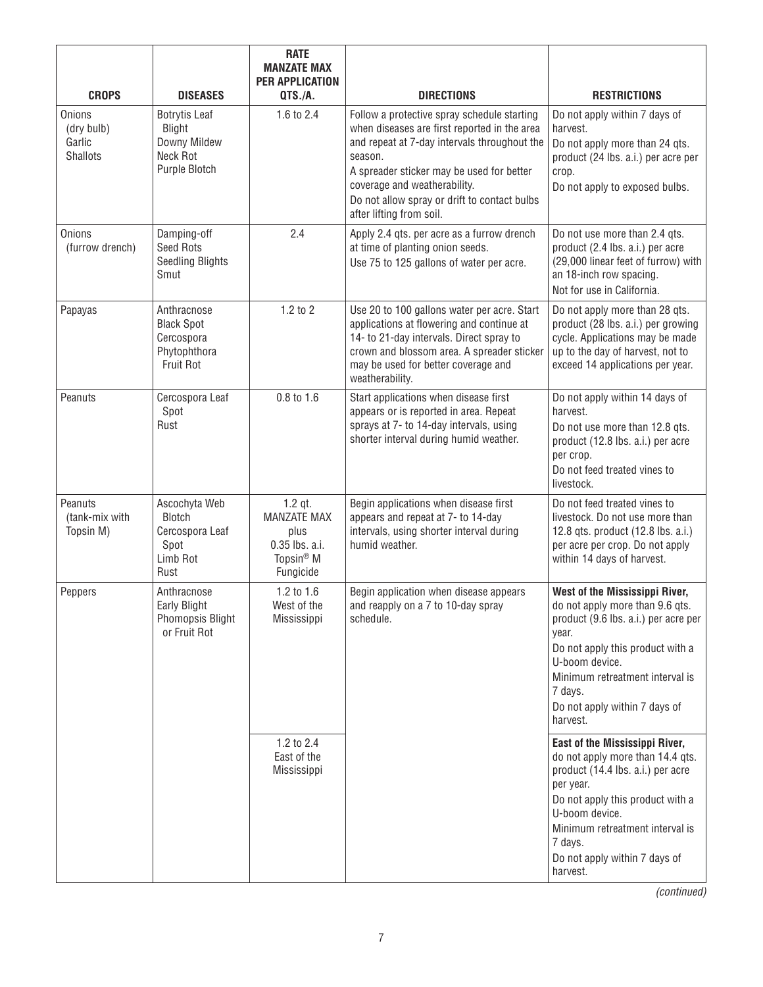| <b>CROPS</b>                                      | <b>DISEASES</b>                                                                    | <b>RATE</b><br><b>MANZATE MAX</b><br><b>PER APPLICATION</b><br>$QTS./A$ .                       | <b>DIRECTIONS</b>                                                                                                                                                                                                                                                                                               | <b>RESTRICTIONS</b>                                                                                                                                                                                                                                                   |
|---------------------------------------------------|------------------------------------------------------------------------------------|-------------------------------------------------------------------------------------------------|-----------------------------------------------------------------------------------------------------------------------------------------------------------------------------------------------------------------------------------------------------------------------------------------------------------------|-----------------------------------------------------------------------------------------------------------------------------------------------------------------------------------------------------------------------------------------------------------------------|
| Onions<br>(dry bulb)<br>Garlic<br><b>Shallots</b> | <b>Botrytis Leaf</b><br>Blight<br>Downy Mildew<br><b>Neck Rot</b><br>Purple Blotch | 1.6 to 2.4                                                                                      | Follow a protective spray schedule starting<br>when diseases are first reported in the area<br>and repeat at 7-day intervals throughout the<br>season.<br>A spreader sticker may be used for better<br>coverage and weatherability.<br>Do not allow spray or drift to contact bulbs<br>after lifting from soil. | Do not apply within 7 days of<br>harvest.<br>Do not apply more than 24 qts.<br>product (24 lbs. a.i.) per acre per<br>crop.<br>Do not apply to exposed bulbs.                                                                                                         |
| Onions<br>(furrow drench)                         | Damping-off<br><b>Seed Rots</b><br><b>Seedling Blights</b><br>Smut                 | 2.4                                                                                             | Apply 2.4 qts. per acre as a furrow drench<br>at time of planting onion seeds.<br>Use 75 to 125 gallons of water per acre.                                                                                                                                                                                      | Do not use more than 2.4 qts.<br>product (2.4 lbs. a.i.) per acre<br>(29,000 linear feet of furrow) with<br>an 18-inch row spacing.<br>Not for use in California.                                                                                                     |
| Papayas                                           | Anthracnose<br><b>Black Spot</b><br>Cercospora<br>Phytophthora<br><b>Fruit Rot</b> | $1.2$ to $2$                                                                                    | Use 20 to 100 gallons water per acre. Start<br>applications at flowering and continue at<br>14- to 21-day intervals. Direct spray to<br>crown and blossom area. A spreader sticker<br>may be used for better coverage and<br>weatherability.                                                                    | Do not apply more than 28 qts.<br>product (28 lbs. a.i.) per growing<br>cycle. Applications may be made<br>up to the day of harvest, not to<br>exceed 14 applications per year.                                                                                       |
| Peanuts                                           | Cercospora Leaf<br>Spot<br>Rust                                                    | 0.8 to 1.6                                                                                      | Start applications when disease first<br>appears or is reported in area. Repeat<br>sprays at 7- to 14-day intervals, using<br>shorter interval during humid weather.                                                                                                                                            | Do not apply within 14 days of<br>harvest.<br>Do not use more than 12.8 qts.<br>product (12.8 lbs. a.i.) per acre<br>per crop.<br>Do not feed treated vines to<br>livestock.                                                                                          |
| Peanuts<br>(tank-mix with<br>Topsin M)            | Ascochyta Web<br>Blotch<br>Cercospora Leaf<br>Spot<br>Limb Rot<br>Rust             | $1.2$ qt.<br><b>MANZATE MAX</b><br>plus<br>0.35 lbs. a.i.<br>Topsin <sup>®</sup> M<br>Fungicide | Begin applications when disease first<br>appears and repeat at 7- to 14-day<br>intervals, using shorter interval during<br>humid weather.                                                                                                                                                                       | Do not feed treated vines to<br>livestock. Do not use more than<br>12.8 qts. product (12.8 lbs. a.i.)<br>per acre per crop. Do not apply<br>within 14 days of harvest.                                                                                                |
| Peppers                                           | Anthracnose<br>Early Blight<br><b>Phomopsis Blight</b><br>or Fruit Rot             | 1.2 to 1.6<br>West of the<br>Mississippi                                                        | Begin application when disease appears<br>and reapply on a 7 to 10-day spray<br>schedule.                                                                                                                                                                                                                       | West of the Mississippi River,<br>do not apply more than 9.6 qts.<br>product (9.6 lbs. a.i.) per acre per<br>year.<br>Do not apply this product with a<br>U-boom device.<br>Minimum retreatment interval is<br>7 days.<br>Do not apply within 7 days of<br>harvest.   |
|                                                   |                                                                                    | 1.2 to 2.4<br>East of the<br>Mississippi                                                        |                                                                                                                                                                                                                                                                                                                 | East of the Mississippi River,<br>do not apply more than 14.4 qts.<br>product (14.4 lbs. a.i.) per acre<br>per year.<br>Do not apply this product with a<br>U-boom device.<br>Minimum retreatment interval is<br>7 days.<br>Do not apply within 7 days of<br>harvest. |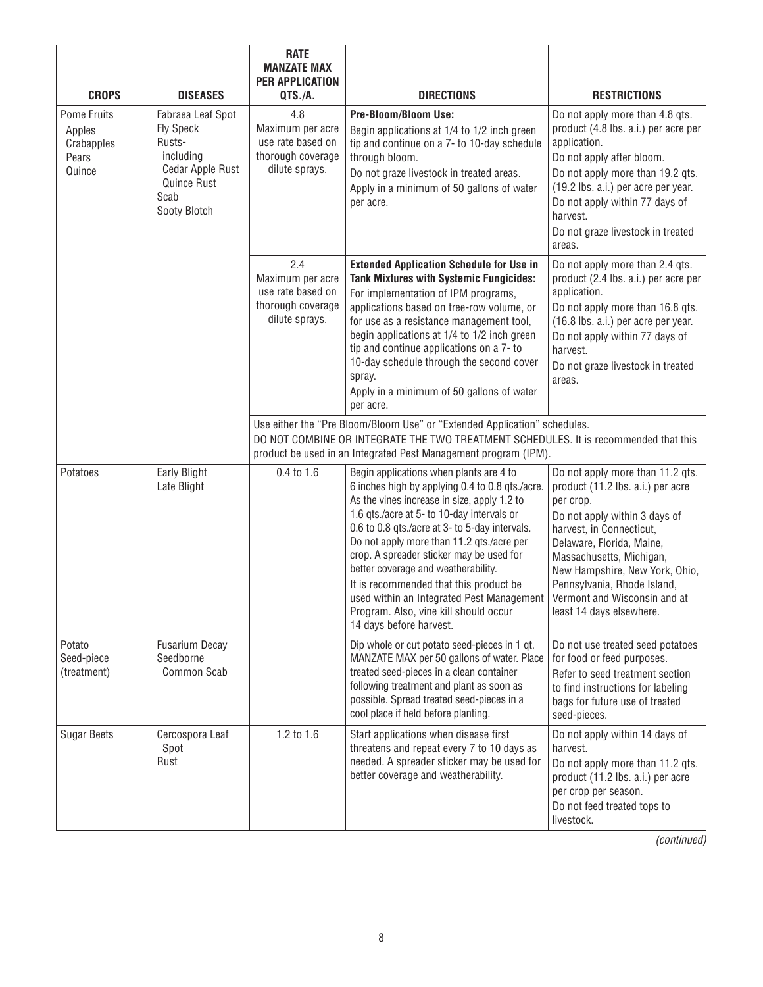| <b>CROPS</b>                                           | <b>DISEASES</b>                                                                                                                | <b>RATE</b><br><b>MANZATE MAX</b><br><b>PER APPLICATION</b><br>QTS./A.              | <b>DIRECTIONS</b>                                                                                                                                                                                                                                                                                                                                                                                                                                                                                                                    | <b>RESTRICTIONS</b>                                                                                                                                                                                                                                                                                                                   |
|--------------------------------------------------------|--------------------------------------------------------------------------------------------------------------------------------|-------------------------------------------------------------------------------------|--------------------------------------------------------------------------------------------------------------------------------------------------------------------------------------------------------------------------------------------------------------------------------------------------------------------------------------------------------------------------------------------------------------------------------------------------------------------------------------------------------------------------------------|---------------------------------------------------------------------------------------------------------------------------------------------------------------------------------------------------------------------------------------------------------------------------------------------------------------------------------------|
| Pome Fruits<br>Apples<br>Crabapples<br>Pears<br>Quince | Fabraea Leaf Spot<br><b>Fly Speck</b><br>Rusts-<br>including<br><b>Cedar Apple Rust</b><br>Quince Rust<br>Scab<br>Sooty Blotch | 4.8<br>Maximum per acre<br>use rate based on<br>thorough coverage<br>dilute sprays. | Pre-Bloom/Bloom Use:<br>Begin applications at 1/4 to 1/2 inch green<br>tip and continue on a 7- to 10-day schedule<br>through bloom.<br>Do not graze livestock in treated areas.<br>Apply in a minimum of 50 gallons of water<br>per acre.                                                                                                                                                                                                                                                                                           | Do not apply more than 4.8 qts.<br>product (4.8 lbs. a.i.) per acre per<br>application.<br>Do not apply after bloom.<br>Do not apply more than 19.2 qts.<br>(19.2 lbs. a.i.) per acre per year.<br>Do not apply within 77 days of<br>harvest.<br>Do not graze livestock in treated<br>areas.                                          |
|                                                        |                                                                                                                                | 2.4<br>Maximum per acre<br>use rate based on<br>thorough coverage<br>dilute sprays. | <b>Extended Application Schedule for Use in</b><br><b>Tank Mixtures with Systemic Fungicides:</b><br>For implementation of IPM programs,<br>applications based on tree-row volume, or<br>for use as a resistance management tool,<br>begin applications at 1/4 to 1/2 inch green<br>tip and continue applications on a 7- to<br>10-day schedule through the second cover<br>spray.<br>Apply in a minimum of 50 gallons of water<br>per acre.                                                                                         | Do not apply more than 2.4 qts.<br>product (2.4 lbs. a.i.) per acre per<br>application.<br>Do not apply more than 16.8 qts.<br>(16.8 lbs. a.i.) per acre per year.<br>Do not apply within 77 days of<br>harvest.<br>Do not graze livestock in treated<br>areas.                                                                       |
|                                                        |                                                                                                                                |                                                                                     | Use either the "Pre Bloom/Bloom Use" or "Extended Application" schedules.<br>DO NOT COMBINE OR INTEGRATE THE TWO TREATMENT SCHEDULES. It is recommended that this<br>product be used in an Integrated Pest Management program (IPM).                                                                                                                                                                                                                                                                                                 |                                                                                                                                                                                                                                                                                                                                       |
| Potatoes                                               | Early Blight<br>Late Blight                                                                                                    | 0.4 to 1.6                                                                          | Begin applications when plants are 4 to<br>6 inches high by applying 0.4 to 0.8 qts./acre.<br>As the vines increase in size, apply 1.2 to<br>1.6 qts./acre at 5- to 10-day intervals or<br>0.6 to 0.8 qts./acre at 3- to 5-day intervals.<br>Do not apply more than 11.2 qts./acre per<br>crop. A spreader sticker may be used for<br>better coverage and weatherability.<br>It is recommended that this product be<br>used within an Integrated Pest Management<br>Program. Also, vine kill should occur<br>14 days before harvest. | Do not apply more than 11.2 qts.<br>product (11.2 lbs. a.i.) per acre<br>per crop.<br>Do not apply within 3 days of<br>harvest, in Connecticut,<br>Delaware, Florida, Maine,<br>Massachusetts, Michigan,<br>New Hampshire, New York, Ohio,<br>Pennsylvania, Rhode Island,<br>Vermont and Wisconsin and at<br>least 14 days elsewhere. |
| Potato<br>Seed-piece<br>(treatment)                    | <b>Fusarium Decay</b><br>Seedborne<br>Common Scab                                                                              |                                                                                     | Dip whole or cut potato seed-pieces in 1 qt.<br>MANZATE MAX per 50 gallons of water. Place<br>treated seed-pieces in a clean container<br>following treatment and plant as soon as<br>possible. Spread treated seed-pieces in a<br>cool place if held before planting.                                                                                                                                                                                                                                                               | Do not use treated seed potatoes<br>for food or feed purposes.<br>Refer to seed treatment section<br>to find instructions for labeling<br>bags for future use of treated<br>seed-pieces.                                                                                                                                              |
| <b>Sugar Beets</b>                                     | Cercospora Leaf<br>Spot<br>Rust                                                                                                | 1.2 to 1.6                                                                          | Start applications when disease first<br>threatens and repeat every 7 to 10 days as<br>needed. A spreader sticker may be used for<br>better coverage and weatherability.                                                                                                                                                                                                                                                                                                                                                             | Do not apply within 14 days of<br>harvest.<br>Do not apply more than 11.2 qts.<br>product (11.2 lbs. a.i.) per acre<br>per crop per season.<br>Do not feed treated tops to<br>livestock.                                                                                                                                              |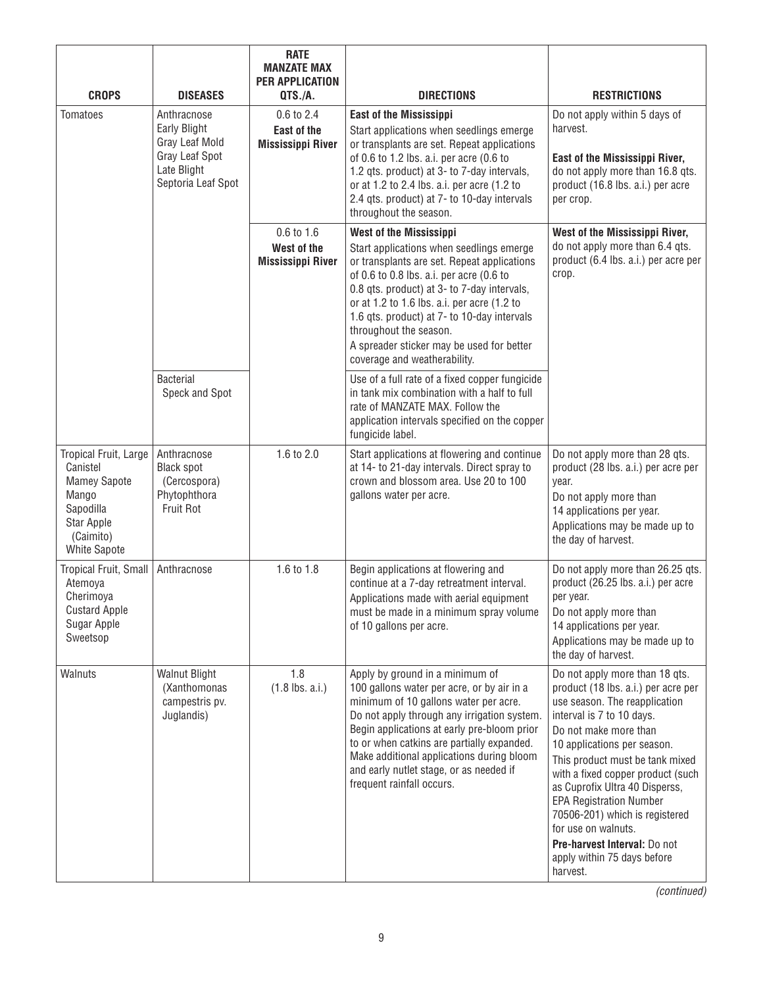| <b>CROPS</b>                                                                                                                            | <b>DISEASES</b>                                                                                      | <b>RATE</b><br><b>MANZATE MAX</b><br>PER APPLICATION<br>$QTS./A$ . | <b>DIRECTIONS</b>                                                                                                                                                                                                                                                                                                                                                                                                         | <b>RESTRICTIONS</b>                                                                                                                                                                                                                                                                                                                                                                                                                                                         |
|-----------------------------------------------------------------------------------------------------------------------------------------|------------------------------------------------------------------------------------------------------|--------------------------------------------------------------------|---------------------------------------------------------------------------------------------------------------------------------------------------------------------------------------------------------------------------------------------------------------------------------------------------------------------------------------------------------------------------------------------------------------------------|-----------------------------------------------------------------------------------------------------------------------------------------------------------------------------------------------------------------------------------------------------------------------------------------------------------------------------------------------------------------------------------------------------------------------------------------------------------------------------|
| Tomatoes                                                                                                                                | Anthracnose<br>Early Blight<br>Gray Leaf Mold<br>Gray Leaf Spot<br>Late Blight<br>Septoria Leaf Spot | 0.6 to 2.4<br>East of the<br><b>Mississippi River</b>              | <b>East of the Mississippi</b><br>Start applications when seedlings emerge<br>or transplants are set. Repeat applications<br>of 0.6 to 1.2 lbs. a.i. per acre (0.6 to<br>1.2 qts. product) at 3- to 7-day intervals,<br>or at 1.2 to 2.4 lbs. a.i. per acre (1.2 to<br>2.4 qts. product) at 7- to 10-day intervals<br>throughout the season.                                                                              | Do not apply within 5 days of<br>harvest.<br>East of the Mississippi River,<br>do not apply more than 16.8 qts.<br>product (16.8 lbs. a.i.) per acre<br>per crop.                                                                                                                                                                                                                                                                                                           |
|                                                                                                                                         |                                                                                                      | $0.6$ to $1.6$<br>West of the<br><b>Mississippi River</b>          | <b>West of the Mississippi</b><br>Start applications when seedlings emerge<br>or transplants are set. Repeat applications<br>of 0.6 to 0.8 lbs. a.i. per acre (0.6 to<br>0.8 qts. product) at 3- to 7-day intervals,<br>or at 1.2 to 1.6 lbs. a.i. per acre (1.2 to<br>1.6 qts. product) at 7- to 10-day intervals<br>throughout the season.<br>A spreader sticker may be used for better<br>coverage and weatherability. | West of the Mississippi River,<br>do not apply more than 6.4 qts.<br>product (6.4 lbs. a.i.) per acre per<br>crop.                                                                                                                                                                                                                                                                                                                                                          |
|                                                                                                                                         | <b>Bacterial</b><br>Speck and Spot                                                                   |                                                                    | Use of a full rate of a fixed copper fungicide<br>in tank mix combination with a half to full<br>rate of MANZATE MAX. Follow the<br>application intervals specified on the copper<br>fungicide label.                                                                                                                                                                                                                     |                                                                                                                                                                                                                                                                                                                                                                                                                                                                             |
| Tropical Fruit, Large<br>Canistel<br><b>Mamey Sapote</b><br>Mango<br>Sapodilla<br><b>Star Apple</b><br>(Caimito)<br><b>White Sapote</b> | Anthracnose<br><b>Black spot</b><br>(Cercospora)<br>Phytophthora<br><b>Fruit Rot</b>                 | 1.6 to 2.0                                                         | Start applications at flowering and continue<br>at 14- to 21-day intervals. Direct spray to<br>crown and blossom area. Use 20 to 100<br>gallons water per acre.                                                                                                                                                                                                                                                           | Do not apply more than 28 qts.<br>product (28 lbs. a.i.) per acre per<br>year.<br>Do not apply more than<br>14 applications per year.<br>Applications may be made up to<br>the day of harvest.                                                                                                                                                                                                                                                                              |
| Tropical Fruit, Small<br>Atemoya<br>Cherimoya<br><b>Custard Apple</b><br>Sugar Apple<br>Sweetsop                                        | Anthracnose                                                                                          | 1.6 to 1.8                                                         | Begin applications at flowering and<br>continue at a 7-day retreatment interval.<br>Applications made with aerial equipment<br>must be made in a minimum spray volume<br>of 10 gallons per acre.                                                                                                                                                                                                                          | Do not apply more than 26.25 qts.<br>product (26.25 lbs. a.i.) per acre<br>per year.<br>Do not apply more than<br>14 applications per year.<br>Applications may be made up to<br>the day of harvest.                                                                                                                                                                                                                                                                        |
| Walnuts                                                                                                                                 | <b>Walnut Blight</b><br>(Xanthomonas<br>campestris pv.<br>Juglandis)                                 | 1.8<br>$(1.8$ lbs. a.i.)                                           | Apply by ground in a minimum of<br>100 gallons water per acre, or by air in a<br>minimum of 10 gallons water per acre.<br>Do not apply through any irrigation system.<br>Begin applications at early pre-bloom prior<br>to or when catkins are partially expanded.<br>Make additional applications during bloom<br>and early nutlet stage, or as needed if<br>frequent rainfall occurs.                                   | Do not apply more than 18 qts.<br>product (18 lbs. a.i.) per acre per<br>use season. The reapplication<br>interval is 7 to 10 days.<br>Do not make more than<br>10 applications per season.<br>This product must be tank mixed<br>with a fixed copper product (such<br>as Cuprofix Ultra 40 Disperss,<br><b>EPA Registration Number</b><br>70506-201) which is registered<br>for use on walnuts.<br>Pre-harvest Interval: Do not<br>apply within 75 days before<br>harvest. |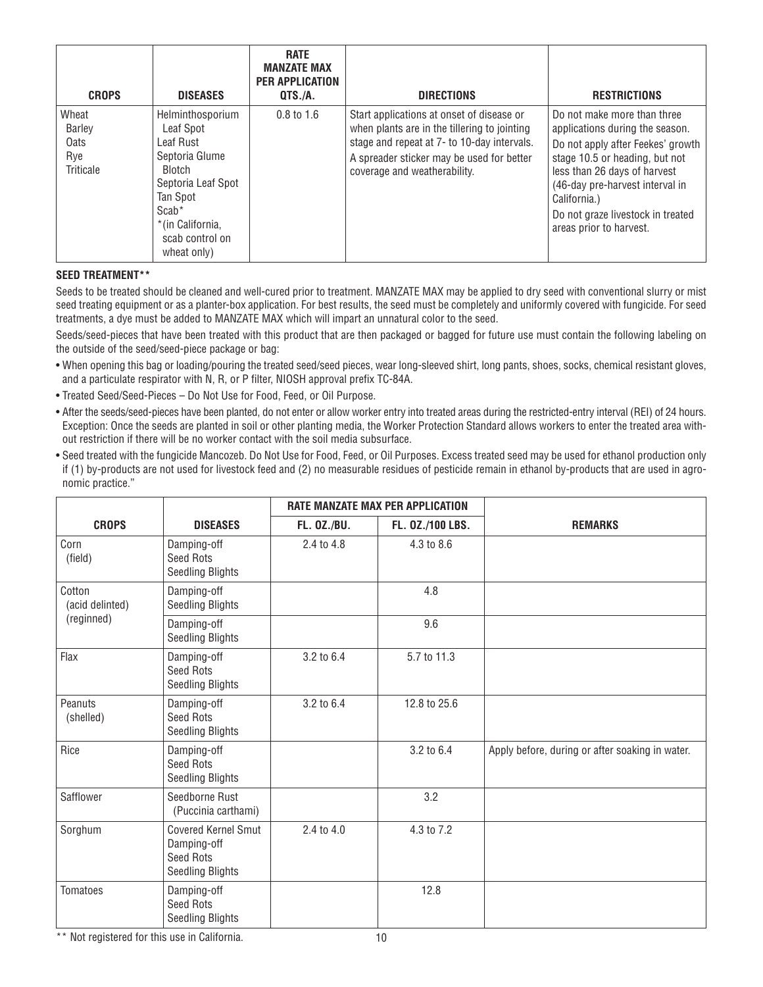| <b>CROPS</b>                                       | <b>DISEASES</b>                                                                                                                                                                   | <b>RATE</b><br><b>MANZATE MAX</b><br><b>PER APPLICATION</b><br>QTS./A. | <b>DIRECTIONS</b>                                                                                                                                                                                                     | <b>RESTRICTIONS</b>                                                                                                                                                                                                                                                                      |
|----------------------------------------------------|-----------------------------------------------------------------------------------------------------------------------------------------------------------------------------------|------------------------------------------------------------------------|-----------------------------------------------------------------------------------------------------------------------------------------------------------------------------------------------------------------------|------------------------------------------------------------------------------------------------------------------------------------------------------------------------------------------------------------------------------------------------------------------------------------------|
| Wheat<br><b>Barley</b><br>Oats<br>Rye<br>Triticale | Helminthosporium<br>Leaf Spot<br>Leaf Rust<br>Septoria Glume<br><b>Blotch</b><br>Septoria Leaf Spot<br>Tan Spot<br>$Scab^*$<br>*(in California,<br>scab control on<br>wheat only) | $0.8 \text{ to } 1.6$                                                  | Start applications at onset of disease or<br>when plants are in the tillering to jointing<br>stage and repeat at 7- to 10-day intervals.<br>A spreader sticker may be used for better<br>coverage and weatherability. | Do not make more than three<br>applications during the season.<br>Do not apply after Feekes' growth<br>stage 10.5 or heading, but not<br>less than 26 days of harvest<br>(46-day pre-harvest interval in<br>California.)<br>Do not graze livestock in treated<br>areas prior to harvest. |

#### **SEED TREATMENT\*\***

Seeds to be treated should be cleaned and well-cured prior to treatment. MANZATE MAX may be applied to dry seed with conventional slurry or mist seed treating equipment or as a planter-box application. For best results, the seed must be completely and uniformly covered with fungicide. For seed treatments, a dye must be added to MANZATE MAX which will impart an unnatural color to the seed.

Seeds/seed-pieces that have been treated with this product that are then packaged or bagged for future use must contain the following labeling on the outside of the seed/seed-piece package or bag:

- When opening this bag or loading/pouring the treated seed/seed pieces, wear long-sleeved shirt, long pants, shoes, socks, chemical resistant gloves, and a particulate respirator with N, R, or P filter, NIOSH approval prefix TC-84A.
- Treated Seed/Seed-Pieces Do Not Use for Food, Feed, or Oil Purpose.
- After the seeds/seed-pieces have been planted, do not enter or allow worker entry into treated areas during the restricted-entry interval (REI) of 24 hours. Exception: Once the seeds are planted in soil or other planting media, the Worker Protection Standard allows workers to enter the treated area without restriction if there will be no worker contact with the soil media subsurface.
- Seed treated with the fungicide Mancozeb. Do Not Use for Food, Feed, or Oil Purposes. Excess treated seed may be used for ethanol production only if (1) by-products are not used for livestock feed and (2) no measurable residues of pesticide remain in ethanol by-products that are used in agronomic practice."

|                           |                                                                                   | <b>RATE MANZATE MAX PER APPLICATION</b> |                  |                                                 |
|---------------------------|-----------------------------------------------------------------------------------|-----------------------------------------|------------------|-------------------------------------------------|
| <b>CROPS</b>              | <b>DISEASES</b>                                                                   | <b>FL. 0Z./BU.</b>                      | FL. 0Z./100 LBS. | <b>REMARKS</b>                                  |
| Corn<br>(field)           | Damping-off<br><b>Seed Rots</b><br>Seedling Blights                               | 2.4 to 4.8                              | 4.3 to 8.6       |                                                 |
| Cotton<br>(acid delinted) | Damping-off<br>Seedling Blights                                                   |                                         | 4.8              |                                                 |
| (reginned)                | Damping-off<br><b>Seedling Blights</b>                                            |                                         | 9.6              |                                                 |
| Flax                      | Damping-off<br>Seed Rots<br><b>Seedling Blights</b>                               | 3.2 to 6.4                              | 5.7 to 11.3      |                                                 |
| Peanuts<br>(shelled)      | Damping-off<br><b>Seed Rots</b><br><b>Seedling Blights</b>                        | 3.2 to 6.4                              | 12.8 to 25.6     |                                                 |
| Rice                      | Damping-off<br><b>Seed Rots</b><br><b>Seedling Blights</b>                        |                                         | 3.2 to 6.4       | Apply before, during or after soaking in water. |
| Safflower                 | Seedborne Rust<br>(Puccinia carthami)                                             |                                         | 3.2              |                                                 |
| Sorghum                   | <b>Covered Kernel Smut</b><br>Damping-off<br>Seed Rots<br><b>Seedling Blights</b> | 2.4 to 4.0                              | 4.3 to 7.2       |                                                 |
| <b>Tomatoes</b>           | Damping-off<br>Seed Rots<br><b>Seedling Blights</b>                               |                                         | 12.8             |                                                 |

\*\* Not registered for this use in California.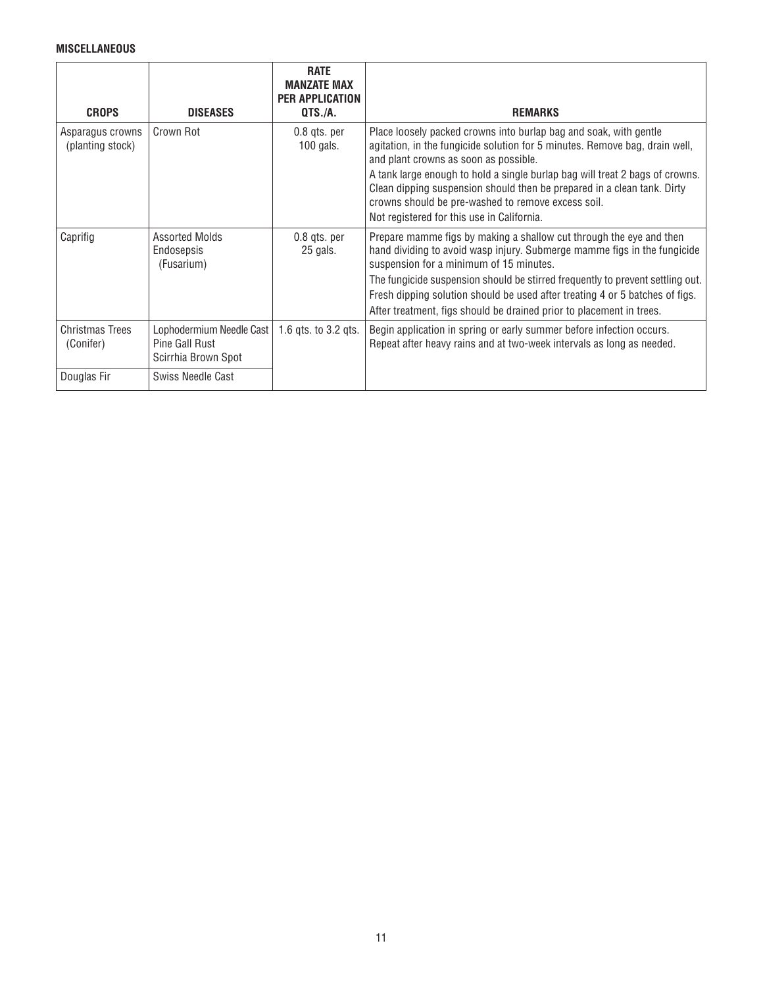### **MISCELLANEOUS**

| <b>CROPS</b>                         | <b>DISEASES</b>                                                   | <b>RATE</b><br><b>MANZATE MAX</b><br><b>PER APPLICATION</b><br>QTS./A. | <b>REMARKS</b>                                                                                                                                                                                                                                                                                                                                                                                                                                           |
|--------------------------------------|-------------------------------------------------------------------|------------------------------------------------------------------------|----------------------------------------------------------------------------------------------------------------------------------------------------------------------------------------------------------------------------------------------------------------------------------------------------------------------------------------------------------------------------------------------------------------------------------------------------------|
| Asparagus crowns<br>(planting stock) | Crown Rot                                                         | 0.8 qts. per<br>$100$ gals.                                            | Place loosely packed crowns into burlap bag and soak, with gentle<br>agitation, in the fungicide solution for 5 minutes. Remove bag, drain well,<br>and plant crowns as soon as possible.<br>A tank large enough to hold a single burlap bag will treat 2 bags of crowns.<br>Clean dipping suspension should then be prepared in a clean tank. Dirty<br>crowns should be pre-washed to remove excess soil.<br>Not registered for this use in California. |
| Caprifig                             | Assorted Molds<br>Endosepsis<br>(Fusarium)                        | 0.8 qts. per<br>25 gals.                                               | Prepare mamme figs by making a shallow cut through the eye and then<br>hand dividing to avoid wasp injury. Submerge mamme figs in the fungicide<br>suspension for a minimum of 15 minutes.<br>The fungicide suspension should be stirred frequently to prevent settling out.<br>Fresh dipping solution should be used after treating 4 or 5 batches of figs.<br>After treatment, figs should be drained prior to placement in trees.                     |
| <b>Christmas Trees</b><br>(Conifer)  | Lophodermium Needle Cast<br>Pine Gall Rust<br>Scirrhia Brown Spot | 1.6 gts. to 3.2 gts.                                                   | Begin application in spring or early summer before infection occurs.<br>Repeat after heavy rains and at two-week intervals as long as needed.                                                                                                                                                                                                                                                                                                            |
| Douglas Fir                          | Swiss Needle Cast                                                 |                                                                        |                                                                                                                                                                                                                                                                                                                                                                                                                                                          |